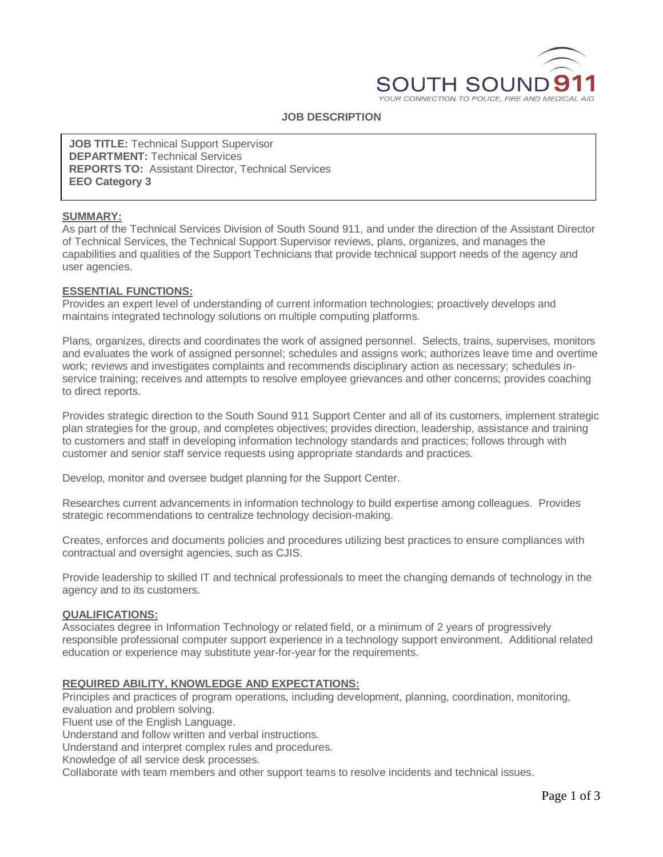

#### **JOB DESCRIPTION**

**JOB TITLE:** Technical Support Supervisor **DEPARTMENT:** Technical Services **REPORTS TO:** Assistant Director, Technical Services **EEO Category 3**

## **SUMMARY:**

As part of the Technical Services Division of South Sound 911, and under the direction of the Assistant Director of Technical Services, the Technical Support Supervisor reviews, plans, organizes, and manages the capabilities and qualities of the Support Technicians that provide technical support needs of the agency and user agencies.

### **ESSENTIAL FUNCTIONS:**

Provides an expert level of understanding of current information technologies; proactively develops and maintains integrated technology solutions on multiple computing platforms.

Plans, organizes, directs and coordinates the work of assigned personnel. Selects, trains, supervises, monitors and evaluates the work of assigned personnel; schedules and assigns work; authorizes leave time and overtime work; reviews and investigates complaints and recommends disciplinary action as necessary; schedules inservice training; receives and attempts to resolve employee grievances and other concerns; provides coaching to direct reports.

Provides strategic direction to the South Sound 911 Support Center and all of its customers, implement strategic plan strategies for the group, and completes objectives; provides direction, leadership, assistance and training to customers and staff in developing information technology standards and practices; follows through with customer and senior staff service requests using appropriate standards and practices.

Develop, monitor and oversee budget planning for the Support Center.

Researches current advancements in information technology to build expertise among colleagues. Provides strategic recommendations to centralize technology decision-making.

Creates, enforces and documents policies and procedures utilizing best practices to ensure compliances with contractual and oversight agencies, such as CJIS.

Provide leadership to skilled IT and technical professionals to meet the changing demands of technology in the agency and to its customers.

### **QUALIFICATIONS:**

Associates degree in Information Technology or related field, or a minimum of 2 years of progressively responsible professional computer support experience in a technology support environment. Additional related education or experience may substitute year-for-year for the requirements.

### **REQUIRED ABILITY, KNOWLEDGE AND EXPECTATIONS:**

Principles and practices of program operations, including development, planning, coordination, monitoring, evaluation and problem solving.

Fluent use of the English Language.

Understand and follow written and verbal instructions.

Understand and interpret complex rules and procedures.

Knowledge of all service desk processes.

Collaborate with team members and other support teams to resolve incidents and technical issues.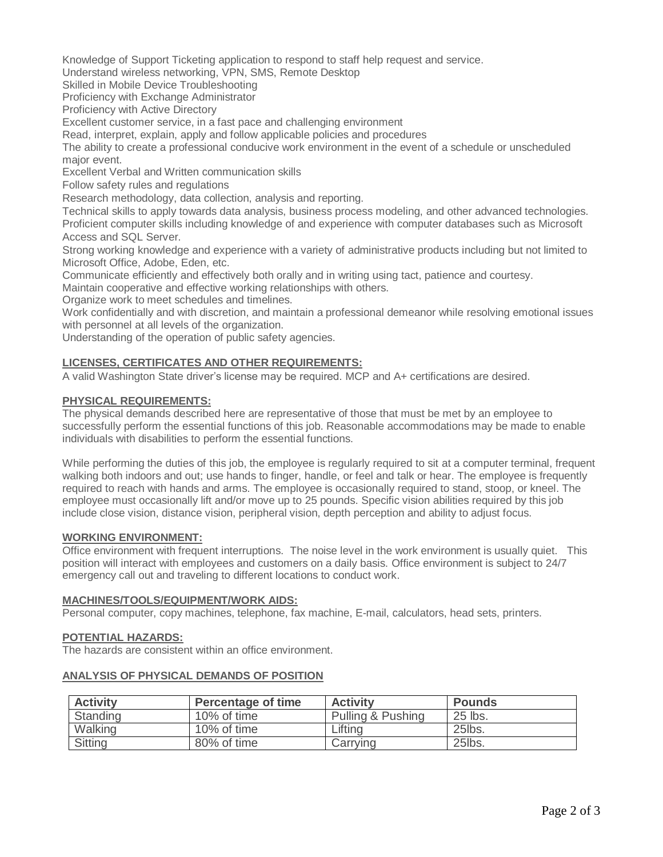Knowledge of Support Ticketing application to respond to staff help request and service.

Understand wireless networking, VPN, SMS, Remote Desktop

Skilled in Mobile Device Troubleshooting

Proficiency with Exchange Administrator

Proficiency with Active Directory

Excellent customer service, in a fast pace and challenging environment

Read, interpret, explain, apply and follow applicable policies and procedures

The ability to create a professional conducive work environment in the event of a schedule or unscheduled major event.

Excellent Verbal and Written communication skills

Follow safety rules and regulations

Research methodology, data collection, analysis and reporting.

Technical skills to apply towards data analysis, business process modeling, and other advanced technologies. Proficient computer skills including knowledge of and experience with computer databases such as Microsoft Access and SQL Server.

Strong working knowledge and experience with a variety of administrative products including but not limited to Microsoft Office, Adobe, Eden, etc.

Communicate efficiently and effectively both orally and in writing using tact, patience and courtesy.

Maintain cooperative and effective working relationships with others.

Organize work to meet schedules and timelines.

Work confidentially and with discretion, and maintain a professional demeanor while resolving emotional issues with personnel at all levels of the organization.

Understanding of the operation of public safety agencies.

# **LICENSES, CERTIFICATES AND OTHER REQUIREMENTS:**

A valid Washington State driver's license may be required. MCP and A+ certifications are desired.

# **PHYSICAL REQUIREMENTS:**

The physical demands described here are representative of those that must be met by an employee to successfully perform the essential functions of this job. Reasonable accommodations may be made to enable individuals with disabilities to perform the essential functions.

While performing the duties of this job, the employee is regularly required to sit at a computer terminal, frequent walking both indoors and out; use hands to finger, handle, or feel and talk or hear. The employee is frequently required to reach with hands and arms. The employee is occasionally required to stand, stoop, or kneel. The employee must occasionally lift and/or move up to 25 pounds. Specific vision abilities required by this job include close vision, distance vision, peripheral vision, depth perception and ability to adjust focus.

### **WORKING ENVIRONMENT:**

Office environment with frequent interruptions. The noise level in the work environment is usually quiet. This position will interact with employees and customers on a daily basis. Office environment is subject to 24/7 emergency call out and traveling to different locations to conduct work.

### **MACHINES/TOOLS/EQUIPMENT/WORK AIDS:**

Personal computer, copy machines, telephone, fax machine, E-mail, calculators, head sets, printers.

### **POTENTIAL HAZARDS:**

The hazards are consistent within an office environment.

| <b>Activity</b> | <b>Percentage of time</b> | <b>Activity</b>   | <b>Pounds</b> |
|-----------------|---------------------------|-------------------|---------------|
| Standing        | 10% of time               | Pulling & Pushing | 25 lbs.       |
| Walking         | 10% of time               | _ifting           | 25lbs.        |
| Sitting         | 80% of time               | Carrving          | 25lbs.        |

# **ANALYSIS OF PHYSICAL DEMANDS OF POSITION**